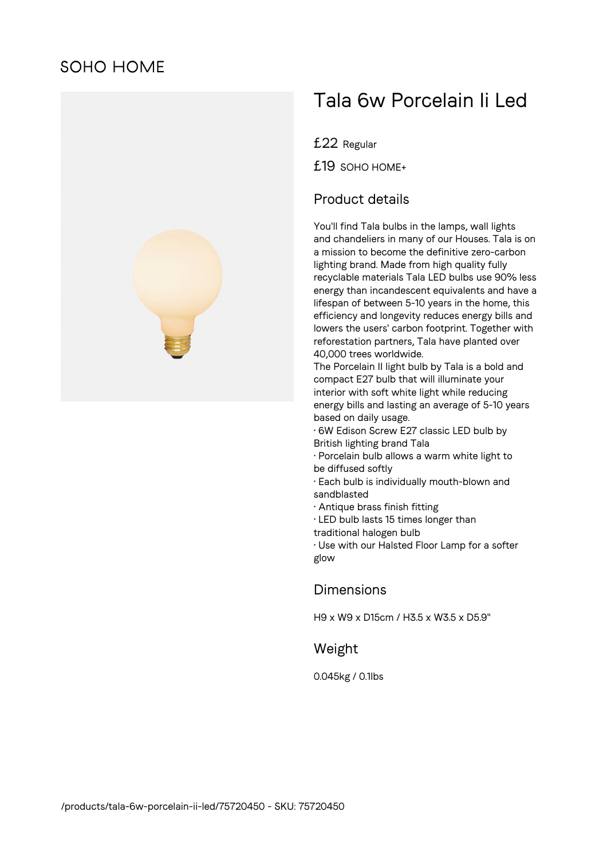# **SOHO HOME**



# Tala 6w Porcelain Ii Led

£22 Regular

£19 SOHO HOME+

### Product details

You'll find Tala bulbs in the lamps, wall lights and chandeliers in many of our Houses. Tala is on a mission to become the definitive zero-carbon lighting brand. Made from high quality fully recyclable materials Tala LED bulbs use 90% less energy than incandescent equivalents and have a lifespan of between 5-10 years in the home, this efficiency and longevity reduces energy bills and lowers the users' carbon footprint. Together with reforestation partners, Tala have planted over 40,000 trees worldwide.

The Porcelain II light bulb by Tala is a bold and compact E27 bulb that will illuminate your interior with soft white light while reducing energy bills and lasting an average of 5-10 years based on daily usage.

• 6W Edison Screw E27 classic LED bulb by British lighting brand Tala

- Porcelain bulb allows a warm white light to be diffused softly
- Each bulb is individually mouth-blown and sandblasted
- Antique brass finish fitting
- LED bulb lasts 15 times longer than
- traditional halogen bulb

• Use with our Halsted Floor Lamp for a softer glow

#### Dimensions

H9 x W9 x D15cm / H3.5 x W3.5 x D5.9"

#### Weight

0.045kg / 0.1lbs